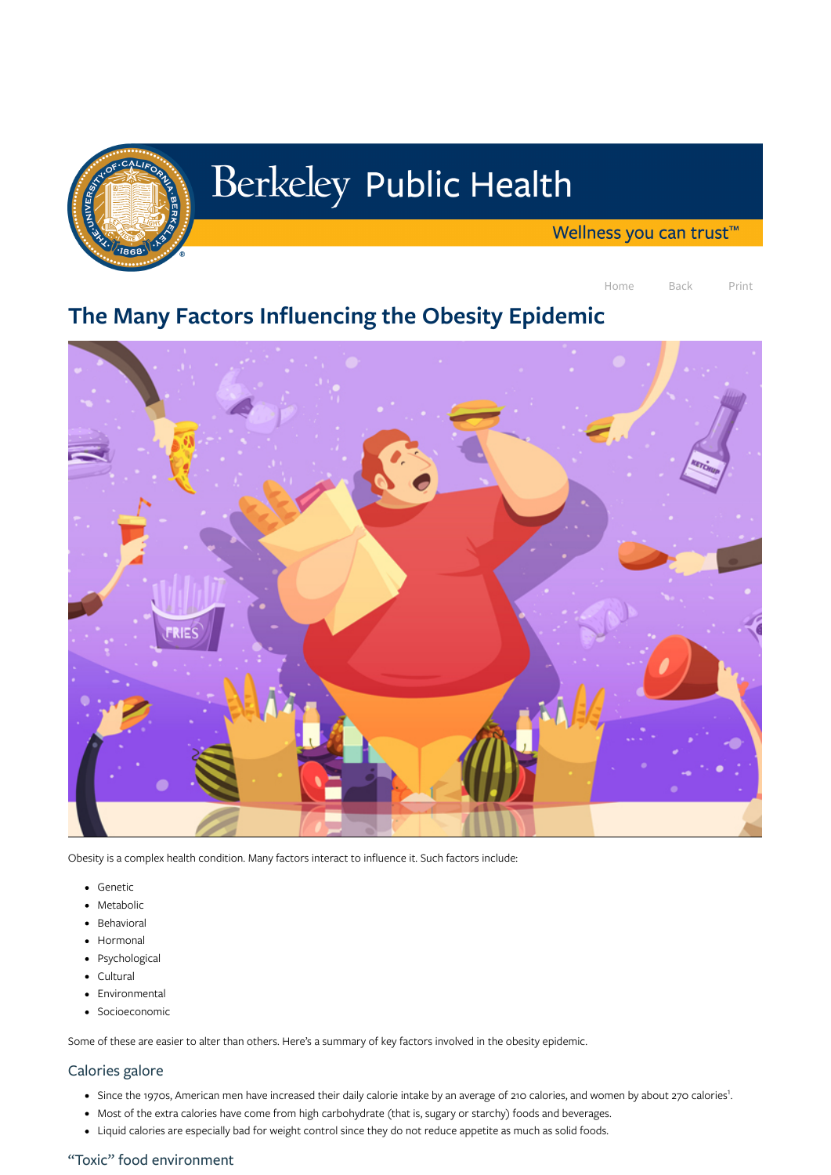

# Berkeley Public Health

Wellness you can trust<sup>™</sup>

Home Back Print

# The Many Factors Influencing the Obesity Epidemic



- Genetic
- Metabolic
- Behavioral
- Hormonal
- Psychological
- Cultural
- Environmental
- Socioeconomic

Obesity is a complex health condition. Many factors interact to influence it. Such factors include:

Some of these are easier to alter than others. Here's a summary of key factors involved in the obesity epidemic.

- Since the 1970s, American men have increased their daily calorie intake by an average of 210 calories, and women by about 270 calories<sup>1</sup>.
- Most of the extra calories have come from high carbohydrate (that is, sugary or starchy) foods and beverages.
- Liquid calories are especially bad for weight control since they do not reduce appetite as much as solid foods.

#### Calories galore

#### "Toxic" food environment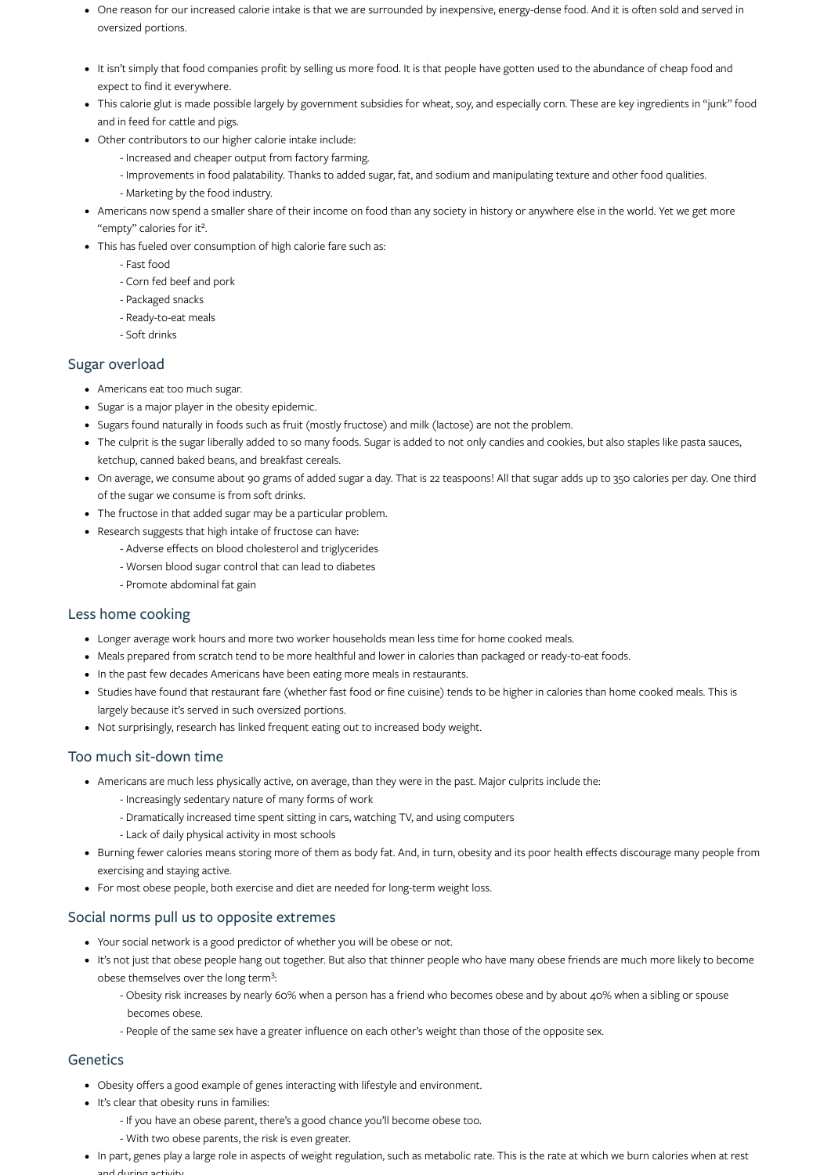- One reason for our increased calorie intake is that we are surrounded by inexpensive, energy-dense food. And it is often sold and served in oversized portions.
- It isn't simply that food companies profit by selling us more food. It is that people have gotten used to the abundance of cheap food and expect to find it everywhere.
- This calorie glut is made possible largely by government subsidies for wheat, soy, and especially corn. These are key ingredients in "junk" food and in feed for cattle and pigs.
- Other contributors to our higher calorie intake include:
	- Increased and cheaper output from factory farming.
	- Improvements in food palatability. Thanks to added sugar, fat, and sodium and manipulating texture and other food qualities.
	- Marketing by the food industry.
- Americans now spend a smaller share of their income on food than any society in history or anywhere else in the world. Yet we get more "empty" calories for it<sup>2</sup>.
- This has fueled over consumption of high calorie fare such as:
	- Fast food
	- Corn fed beef and pork
	- Packaged snacks
	- Ready-to-eat meals
	- Soft drinks

- Americans eat too much sugar.
- Sugar is a major player in the obesity epidemic.
- Sugars found naturally in foods such as fruit (mostly fructose) and milk (lactose) are not the problem.
- The culprit is the sugar liberally added to so many foods. Sugar is added to not only candies and cookies, but also staples like pasta sauces, ketchup, canned baked beans, and breakfast cereals.
- On average, we consume about 90 grams of added sugar a day. That is 22 teaspoons! All that sugar adds up to 350 calories per day. One third of the sugar we consume is from soft drinks.
- The fructose in that added sugar may be a particular problem.
- Research suggests that high intake of fructose can have:
	- Adverse effects on blood cholesterol and triglycerides
	- Worsen blood sugar control that can lead to diabetes
	- Promote abdominal fat gain

#### Sugar overload

#### Less home cooking

- Longer average work hours and more two worker households mean less time for home cooked meals.
- Meals prepared from scratch tend to be more healthful and lower in calories than packaged or ready-to-eat foods.
- In the past few decades Americans have been eating more meals in restaurants.
- Studies have found that restaurant fare (whether fast food or fine cuisine) tends to be higher in calories than home cooked meals. This is largely because it's served in such oversized portions.
- Not surprisingly, research has linked frequent eating out to increased body weight.

#### Too much sit-down time

- Americans are much less physically active, on average, than they were in the past. Major culprits include the:
	- Increasingly sedentary nature of many forms of work
	- Dramatically increased time spent sitting in cars, watching TV, and using computers
	- Lack of daily physical activity in most schools
- Burning fewer calories means storing more of them as body fat. And, in turn, obesity and its poor health effects discourage many people from exercising and staying active.
	-
- For most obese people, both exercise and diet are needed for long-term weight loss.

#### Social norms pull us to opposite extremes

- Your social network is a good predictor of whether you will be obese or not.
- It's not just that obese people hang out together. But also that thinner people who have many obese friends are much more likely to become obese themselves over the long term<sup>3</sup>:
	- Obesity risk increases by nearly 60% when a person has a friend who becomes obese and by about 40% when a sibling or spouse becomes obese.
	- People of the same sex have a greater influence on each other's weight than those of the opposite sex.

#### **Genetics**

- Obesity offers a good example of genes interacting with lifestyle and environment.
- It's clear that obesity runs in families:
	- If you have an obese parent, there's a good chance you'll become obese too.
	- With two obese parents, the risk is even greater.
- In part, genes play a large role in aspects of weight regulation, such as metabolic rate. This is the rate at which we burn calories when at rest and during activity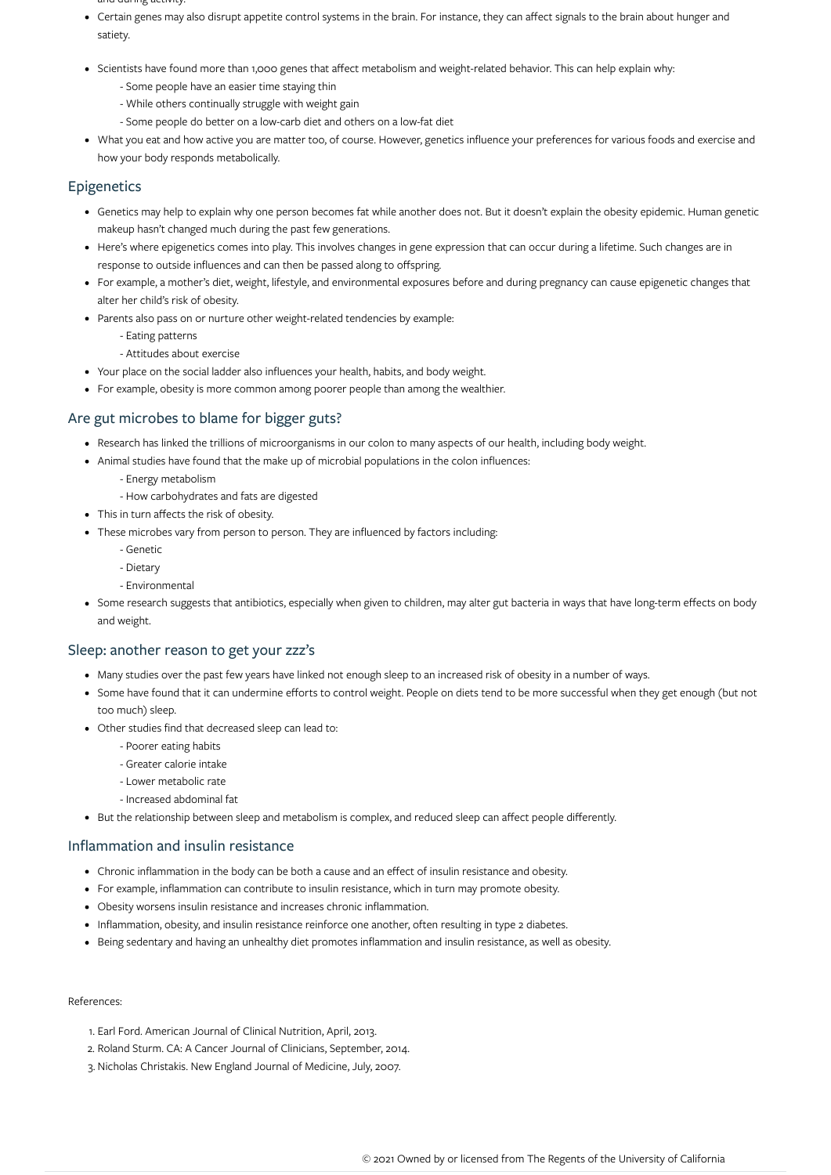- and during activity.
- Certain genes may also disrupt appetite control systems in the brain. For instance, they can affect signals to the brain about hunger and satiety.
- Scientists have found more than 1,000 genes that affect metabolism and weight-related behavior. This can help explain why:
	- Some people have an easier time staying thin
	- While others continually struggle with weight gain
	- Some people do better on a low-carb diet and others on a low-fat diet
- What you eat and how active you are matter too, of course. However, genetics influence your preferences for various foods and exercise and how your body responds metabolically.

# **Epigenetics**

- Genetics may help to explain why one person becomes fat while another does not. But it doesn't explain the obesity epidemic. Human genetic makeup hasn't changed much during the past few generations.
- Here's where epigenetics comes into play. This involves changes in gene expression that can occur during a lifetime. Such changes are in response to outside influences and can then be passed along to offspring.
- For example, a mother's diet, weight, lifestyle, and environmental exposures before and during pregnancy can cause epigenetic changes that alter her child's risk of obesity.
- Parents also pass on or nurture other weight-related tendencies by example:
	- Eating patterns
	- Attitudes about exercise
- Your place on the social ladder also influences your health, habits, and body weight.
- For example, obesity is more common among poorer people than among the wealthier.

## Are gut microbes to blame for bigger guts?

- Research has linked the trillions of microorganisms in our colon to many aspects of our health, including body weight.
- Animal studies have found that the make up of microbial populations in the colon influences:
	- Energy metabolism
	- How carbohydrates and fats are digested
- This in turn affects the risk of obesity.
- These microbes vary from person to person. They are influenced by factors including:
	- Genetic
	- Dietary
	- Environmental
- Some research suggests that antibiotics, especially when given to children, may alter gut bacteria in ways that have long-term effects on body and weight.

### Sleep: another reason to get your zzz's

- Many studies over the past few years have linked not enough sleep to an increased risk of obesity in a number of ways.
- Some have found that it can undermine efforts to control weight. People on diets tend to be more successful when they get enough (but not too much) sleep.
- Other studies find that decreased sleep can lead to:
	- Poorer eating habits
	- Greater calorie intake
	- Lower metabolic rate
	- Increased abdominal fat
- But the relationship between sleep and metabolism is complex, and reduced sleep can affect people differently.

# Inflammation and insulin resistance

- Chronic inflammation in the body can be both a cause and an effect of insulin resistance and obesity.
- For example, inflammation can contribute to insulin resistance, which in turn may promote obesity.
- Obesity worsens insulin resistance and increases chronic inflammation.
- Inflammation, obesity, and insulin resistance reinforce one another, often resulting in type 2 diabetes.  $\bullet$
- Being sedentary and having an unhealthy diet promotes inflammation and insulin resistance, as well as obesity.

References:

1. Earl Ford. American Journal of Clinical Nutrition, April, 2013. 2. Roland Sturm. CA: A Cancer Journal of Clinicians, September, 2014. 3. Nicholas Christakis. New England Journal of Medicine, July, 2007.

© 2021 Owned by or licensed from The Regents of the University of California